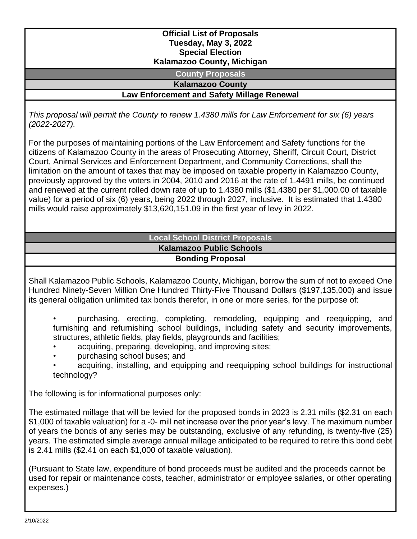#### **Official List of Proposals Tuesday, May 3, 2022 Special Election Kalamazoo County, Michigan**

**County Proposals**

**Kalamazoo County**

**Law Enforcement and Safety Millage Renewal**

*This proposal will permit the County to renew 1.4380 mills for Law Enforcement for six (6) years (2022-2027).*

For the purposes of maintaining portions of the Law Enforcement and Safety functions for the citizens of Kalamazoo County in the areas of Prosecuting Attorney, Sheriff, Circuit Court, District Court, Animal Services and Enforcement Department, and Community Corrections, shall the limitation on the amount of taxes that may be imposed on taxable property in Kalamazoo County, previously approved by the voters in 2004, 2010 and 2016 at the rate of 1.4491 mills, be continued and renewed at the current rolled down rate of up to 1.4380 mills (\$1.4380 per \$1,000.00 of taxable value) for a period of six (6) years, being 2022 through 2027, inclusive. It is estimated that 1.4380 mills would raise approximately \$13,620,151.09 in the first year of levy in 2022.

## **Local School District Proposals Kalamazoo Public Schools Bonding Proposal**

Shall Kalamazoo Public Schools, Kalamazoo County, Michigan, borrow the sum of not to exceed One Hundred Ninety-Seven Million One Hundred Thirty-Five Thousand Dollars (\$197,135,000) and issue its general obligation unlimited tax bonds therefor, in one or more series, for the purpose of:

• purchasing, erecting, completing, remodeling, equipping and reequipping, and furnishing and refurnishing school buildings, including safety and security improvements, structures, athletic fields, play fields, playgrounds and facilities;

- acquiring, preparing, developing, and improving sites;
- purchasing school buses; and
- acquiring, installing, and equipping and reequipping school buildings for instructional technology?

The following is for informational purposes only:

The estimated millage that will be levied for the proposed bonds in 2023 is 2.31 mills (\$2.31 on each \$1,000 of taxable valuation) for a -0- mill net increase over the prior year's levy. The maximum number of years the bonds of any series may be outstanding, exclusive of any refunding, is twenty-five (25) years. The estimated simple average annual millage anticipated to be required to retire this bond debt is 2.41 mills (\$2.41 on each \$1,000 of taxable valuation).

(Pursuant to State law, expenditure of bond proceeds must be audited and the proceeds cannot be used for repair or maintenance costs, teacher, administrator or employee salaries, or other operating expenses.)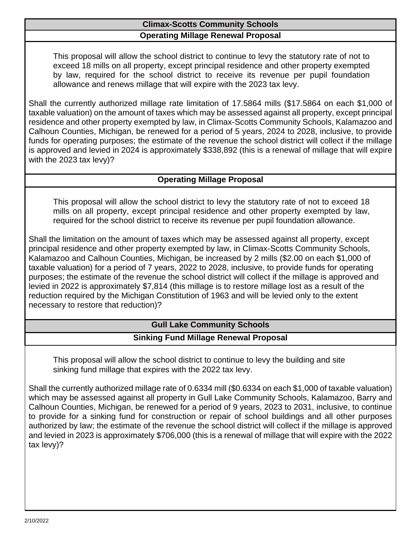## **Climax-Scotts Community Schools Operating Millage Renewal Proposal**

This proposal will allow the school district to continue to levy the statutory rate of not to exceed 18 mills on all property, except principal residence and other property exempted by law, required for the school district to receive its revenue per pupil foundation allowance and renews millage that will expire with the 2023 tax levy.

Shall the currently authorized millage rate limitation of 17.5864 mills (\$17.5864 on each \$1,000 of taxable valuation) on the amount of taxes which may be assessed against all property, except principal residence and other property exempted by law, in Climax-Scotts Community Schools, Kalamazoo and Calhoun Counties, Michigan, be renewed for a period of 5 years, 2024 to 2028, inclusive, to provide funds for operating purposes; the estimate of the revenue the school district will collect if the millage is approved and levied in 2024 is approximately \$338,892 (this is a renewal of millage that will expire with the 2023 tax levy)?

#### **Operating Millage Proposal**

This proposal will allow the school district to levy the statutory rate of not to exceed 18 mills on all property, except principal residence and other property exempted by law, required for the school district to receive its revenue per pupil foundation allowance.

Shall the limitation on the amount of taxes which may be assessed against all property, except principal residence and other property exempted by law, in Climax-Scotts Community Schools, Kalamazoo and Calhoun Counties, Michigan, be increased by 2 mills (\$2.00 on each \$1,000 of taxable valuation) for a period of 7 years, 2022 to 2028, inclusive, to provide funds for operating purposes; the estimate of the revenue the school district will collect if the millage is approved and levied in 2022 is approximately \$7,814 (this millage is to restore millage lost as a result of the reduction required by the Michigan Constitution of 1963 and will be levied only to the extent necessary to restore that reduction)?

# **Gull Lake Community Schools Sinking Fund Millage Renewal Proposal**

This proposal will allow the school district to continue to levy the building and site sinking fund millage that expires with the 2022 tax levy.

Shall the currently authorized millage rate of 0.6334 mill (\$0.6334 on each \$1,000 of taxable valuation) which may be assessed against all property in Gull Lake Community Schools, Kalamazoo, Barry and Calhoun Counties, Michigan, be renewed for a period of 9 years, 2023 to 2031, inclusive, to continue to provide for a sinking fund for construction or repair of school buildings and all other purposes authorized by law; the estimate of the revenue the school district will collect if the millage is approved and levied in 2023 is approximately \$706,000 (this is a renewal of millage that will expire with the 2022 tax levy)?